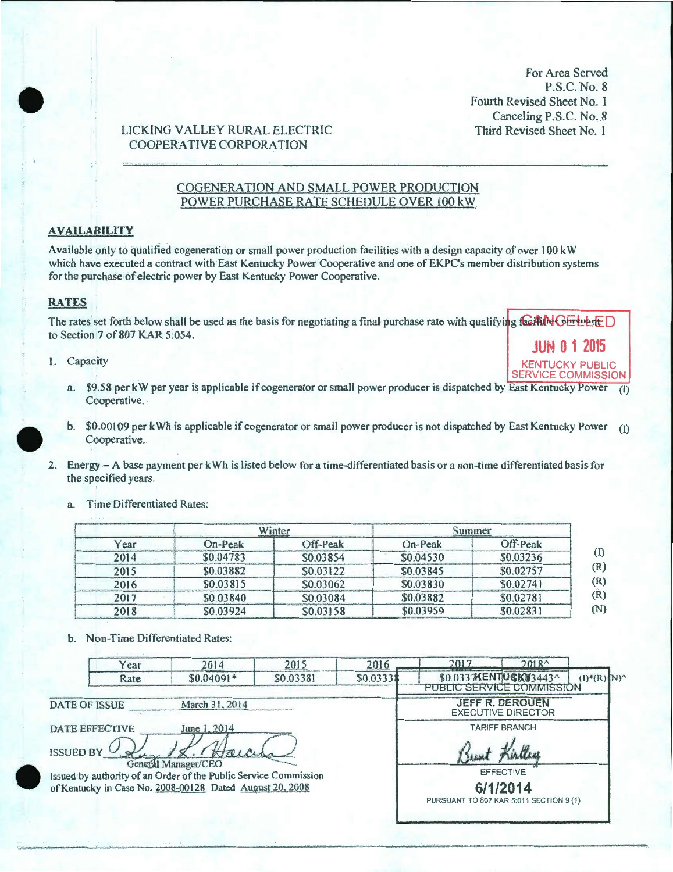For Area Served P.S.C. No. 8 Fourth Revised Sheet No. 1 Canceling P.S.C. No. 8 Third Revised Sheet No. 1

> **KENTUCKY PUBLIC SERVICE COMMISSION**

## LICKING VALLEY RURAL ELECTRIC **COOPERATIVE CORPORATION**

#### COGENERATION AND SMALL POWER PRODUCTION POWER PURCHASE RATE SCHEDULE OVER 100 kW

#### **AVAILABILITY**

Available only to qualified cogeneration or small power production facilities with a design capacity of over 100 kW which have executed a contract with East Kentucky Power Cooperative and one of EKPC's member distribution systems for the purchase of electric power by East Kentucky Power Cooperative.

#### **RATES**

The rates set forth below shall be used as the basis for negotiating a final purchase rate with qualifying facility  $\frac{1}{2}$ to Section 7 of 807 KAR 5:054. **JUN 0 1 2015** 

- 1. Capacity
	- a. \$9.58 per kW per year is applicable if cogenerator or small power producer is dispatched by East Kentucky Power (1) Cooperative.
	- b. \$0.00109 per kWh is applicable if cogenerator or small power producer is not dispatched by East Kentucky Power (1) Cooperative.
- 2. Energy A base payment per kWh is listed below for a time-differentiated basis or a non-time differentiated basis for the specified years.
	- a. Time Differentiated Rates:

|      |           | Winter    |           | Summer    |
|------|-----------|-----------|-----------|-----------|
| Year | On-Peak   | Off-Peak  | On-Peak   | Off-Peak  |
| 2014 | \$0.04783 | \$0.03854 | \$0.04530 | \$0.03236 |
| 2015 | \$0.03882 | \$0.03122 | \$0.03845 | \$0.02757 |
| 2016 | \$0.03815 | \$0.03062 | \$0.03830 | \$0.02741 |
| 2017 | \$0.03840 | \$0.03084 | \$0.03882 | \$0.02781 |
| 2018 | \$0.03924 | \$0.03158 | \$0.03959 | \$0.02831 |

b. Non-Time Differentiated Rates:

|                                                                                                                                                                                                                     | Year | 2014        | 2015      | 2016                                                                                                    | 2017                                               | 2018 <sup>4</sup>      |                                          |
|---------------------------------------------------------------------------------------------------------------------------------------------------------------------------------------------------------------------|------|-------------|-----------|---------------------------------------------------------------------------------------------------------|----------------------------------------------------|------------------------|------------------------------------------|
|                                                                                                                                                                                                                     | Rate | $$0.04091*$ | \$0.03381 | \$0.03331                                                                                               | \$0.0337KENTUSK#3443^<br>PUBLIC SERVICE COMMISSION |                        | $(I)$ <sup>*</sup> $(R)$ N) <sup>^</sup> |
| March 31, 2014<br>DATE OF ISSUE                                                                                                                                                                                     |      |             |           |                                                                                                         | <b>EXECUTIVE DIRECTOR</b>                          | <b>JEFF R. DEROUEN</b> |                                          |
| <b>DATE EFFECTIVE</b><br>June 1, 2014<br>ISSUED BY<br>Teller<br>General Manager/CEO<br>Issued by authority of an Order of the Public Service Commission<br>of Kentucky in Case No. 2008-00128 Dated August 20, 2008 |      |             |           | <b>TARIFF BRANCH</b><br>Sunt<br><b>EFFECTIVE</b><br>6/1/2014<br>PURSUANT TO 807 KAR 5:011 SECTION 9 (1) |                                                    |                        |                                          |
|                                                                                                                                                                                                                     |      |             |           |                                                                                                         |                                                    |                        |                                          |